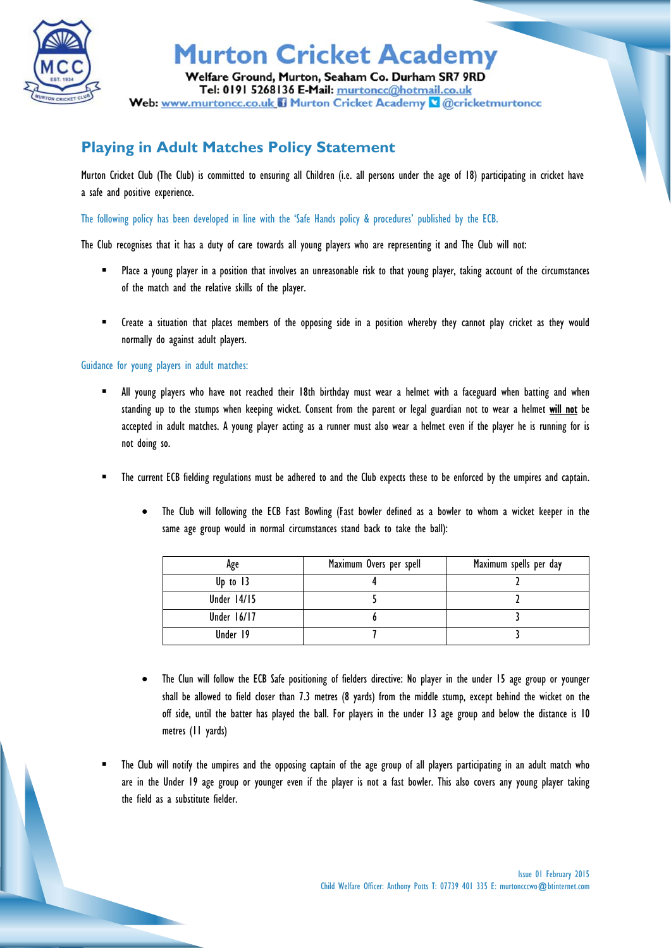

## **Murton Cricket Academy**

Welfare Ground, Murton, Seaham Co. Durham SR7 9RD Tel: 0191 5268136 E-Mail: murtoncc@hotmail.co.uk Web: www.murtoncc.co.uk il Murton Cricket Academy & @cricketmurtoncc

## **Playing in Adult Matches Policy Statement**

Murton Cricket Club (The Club) is committed to ensuring all Children (i.e. all persons under the age of 18) participating in cricket have a safe and positive experience.

The following policy has been developed in line with the 'Safe Hands policy & procedures' published by the ECB.

The Club recognises that it has a duty of care towards all young players who are representing it and The Club will not:

- Place a young player in a position that involves an unreasonable risk to that young player, taking account of the circumstances of the match and the relative skills of the player.
- Create a situation that places members of the opposing side in a position whereby they cannot play cricket as they would normally do against adult players.

Guidance for young players in adult matches:

- All young players who have not reached their 18th birthday must wear a helmet with a faceguard when batting and when standing up to the stumps when keeping wicket. Consent from the parent or legal guardian not to wear a helmet will not be accepted in adult matches. A young player acting as a runner must also wear a helmet even if the player he is running for is not doing so.
- The current ECB fielding regulations must be adhered to and the Club expects these to be enforced by the umpires and captain.
	- The Club will following the ECB Fast Bowling (Fast bowler defined as a bowler to whom a wicket keeper in the same age group would in normal circumstances stand back to take the ball):

| Age                | Maximum Overs per spell | Maximum spells per day |
|--------------------|-------------------------|------------------------|
| Up to $13$         |                         |                        |
| <b>Under 14/15</b> |                         |                        |
| Under 16/17        |                         |                        |
| Under 19           |                         |                        |

- The Clun will follow the ECB Safe positioning of fielders directive: No player in the under 15 age group or younger shall be allowed to field closer than 7.3 metres (8 yards) from the middle stump, except behind the wicket on the off side, until the batter has played the ball. For players in the under 13 age group and below the distance is 10 metres (11 yards)
- The Club will notify the umpires and the opposing captain of the age group of all players participating in an adult match who are in the Under 19 age group or younger even if the player is not a fast bowler. This also covers any young player taking the field as a substitute fielder.